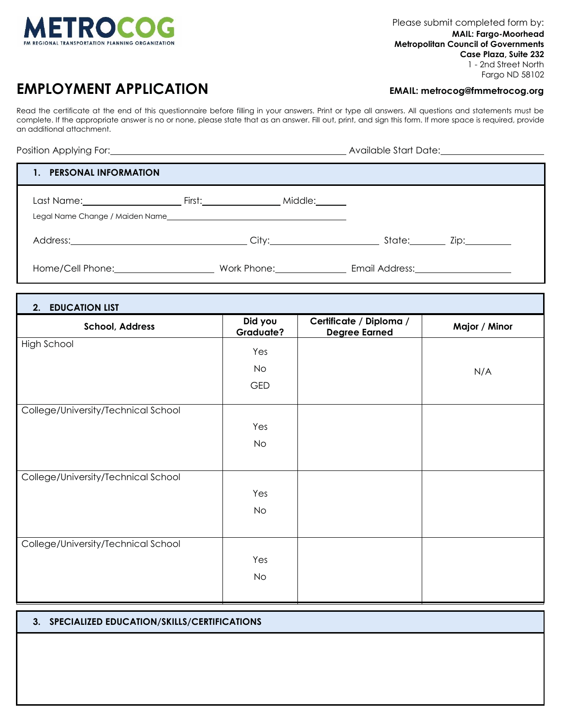

# **EMPLOYMENT APPLICATION EMAIL: metrocog@fmmetrocog.org**

Read the certificate at the end of this questionnaire before filling in your answers. Print or type all answers. All questions and statements must be complete. If the appropriate answer is no or none, please state that as an answer. Fill out, print, and sign this form. If more space is required, provide an additional attachment.

| Position Applying For: 1999 and 2009 and 2009 and 2009 and 2009 and 2009 and 2009 and 2009 and 2009 and 2009 a |                              |  |
|----------------------------------------------------------------------------------------------------------------|------------------------------|--|
| <b>PERSONAL INFORMATION</b>                                                                                    |                              |  |
|                                                                                                                |                              |  |
|                                                                                                                | State:________ Zip:_________ |  |
|                                                                                                                | Email Address: No. 1997      |  |

| <b>EDUCATION LIST</b><br>2.         |                             |                                          |               |
|-------------------------------------|-----------------------------|------------------------------------------|---------------|
| <b>School, Address</b>              | Did you<br><b>Graduate?</b> | Certificate / Diploma /<br>Degree Earned | Major / Minor |
| High School                         | Yes                         |                                          |               |
|                                     | No                          |                                          | N/A           |
|                                     | <b>GED</b>                  |                                          |               |
| College/University/Technical School |                             |                                          |               |
|                                     | Yes                         |                                          |               |
|                                     | No                          |                                          |               |
|                                     |                             |                                          |               |
| College/University/Technical School |                             |                                          |               |
|                                     | Yes                         |                                          |               |
|                                     | No                          |                                          |               |
|                                     |                             |                                          |               |
| College/University/Technical School |                             |                                          |               |
|                                     | Yes                         |                                          |               |
|                                     | No                          |                                          |               |
|                                     |                             |                                          |               |

# **3. SPECIALIZED EDUCATION/SKILLS/CERTIFICATIONS**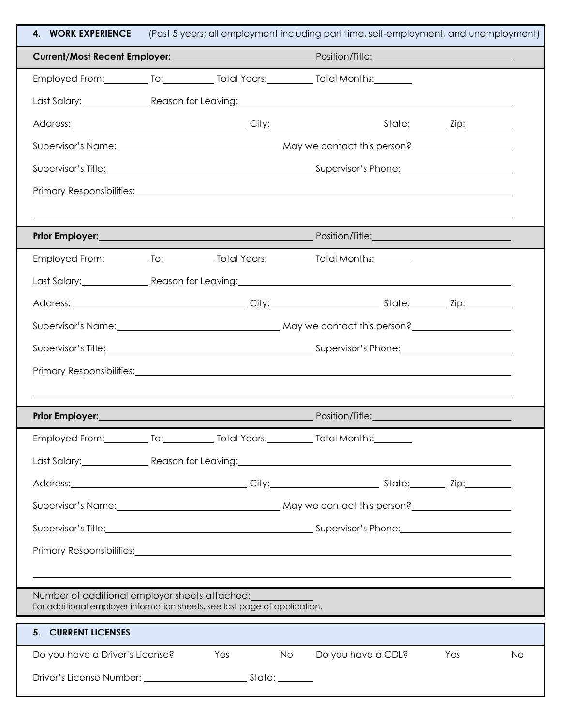| <b>4. WORK EXPERIENCE</b>                                                                                                   |           | (Past 5 years; all employment including part time, self-employment, and unemployment)                                                                                                                                         |     |     |
|-----------------------------------------------------------------------------------------------------------------------------|-----------|-------------------------------------------------------------------------------------------------------------------------------------------------------------------------------------------------------------------------------|-----|-----|
|                                                                                                                             |           |                                                                                                                                                                                                                               |     |     |
|                                                                                                                             |           |                                                                                                                                                                                                                               |     |     |
|                                                                                                                             |           | Last Salary: Reason for Leaving: 2008 2009 2010 2020 2031 2040 2051 2052 2053 2054 2056 2057 2058 2059 2059 20                                                                                                                |     |     |
|                                                                                                                             |           |                                                                                                                                                                                                                               |     |     |
|                                                                                                                             |           |                                                                                                                                                                                                                               |     |     |
|                                                                                                                             |           | Supervisor's Title: <u>Communications of the Supervisors of the Supervisor's Phone:</u>                                                                                                                                       |     |     |
|                                                                                                                             |           |                                                                                                                                                                                                                               |     |     |
|                                                                                                                             |           |                                                                                                                                                                                                                               |     |     |
|                                                                                                                             |           |                                                                                                                                                                                                                               |     |     |
|                                                                                                                             |           |                                                                                                                                                                                                                               |     |     |
|                                                                                                                             |           | Last Salary: Last Salary: Reason for Leaving: Last Salary: Last Salary: Last Salary: Last Salary: Last Salary:                                                                                                                |     |     |
|                                                                                                                             |           |                                                                                                                                                                                                                               |     |     |
|                                                                                                                             |           |                                                                                                                                                                                                                               |     |     |
|                                                                                                                             |           | Supervisor's Title: etc. All and the supervisor's Phone: Etc. All and the Supervisor's Phone: Etc. All and the Supervisor's Phone: Etc. All and the Supervisor's Phone: Etc. All and the Supervisor's Phone: Etc. All and the |     |     |
|                                                                                                                             |           |                                                                                                                                                                                                                               |     |     |
|                                                                                                                             |           |                                                                                                                                                                                                                               |     |     |
|                                                                                                                             |           |                                                                                                                                                                                                                               |     |     |
|                                                                                                                             |           | Employed From: To: To: Total Years: Total Months:                                                                                                                                                                             |     |     |
|                                                                                                                             |           | Last Salary: Reason for Leaving: 2008 2009 2010 2020 2031 2040 2051 2052 2053 2054 2056 2057 2058 2059 2059 20                                                                                                                |     |     |
|                                                                                                                             |           |                                                                                                                                                                                                                               |     |     |
|                                                                                                                             |           |                                                                                                                                                                                                                               |     |     |
|                                                                                                                             |           | Supervisor's Title: <u>contract the supervisor's Phone:</u> Supervisor's Phone:                                                                                                                                               |     |     |
|                                                                                                                             |           |                                                                                                                                                                                                                               |     |     |
|                                                                                                                             |           |                                                                                                                                                                                                                               |     |     |
| Number of additional employer sheets attached:<br>For additional employer information sheets, see last page of application. |           |                                                                                                                                                                                                                               |     |     |
| <b>5. CURRENT LICENSES</b>                                                                                                  |           |                                                                                                                                                                                                                               |     |     |
| Do you have a Driver's License?                                                                                             | Yes<br>No | Do you have a CDL?                                                                                                                                                                                                            | Yes | No. |
|                                                                                                                             |           |                                                                                                                                                                                                                               |     |     |
|                                                                                                                             |           |                                                                                                                                                                                                                               |     |     |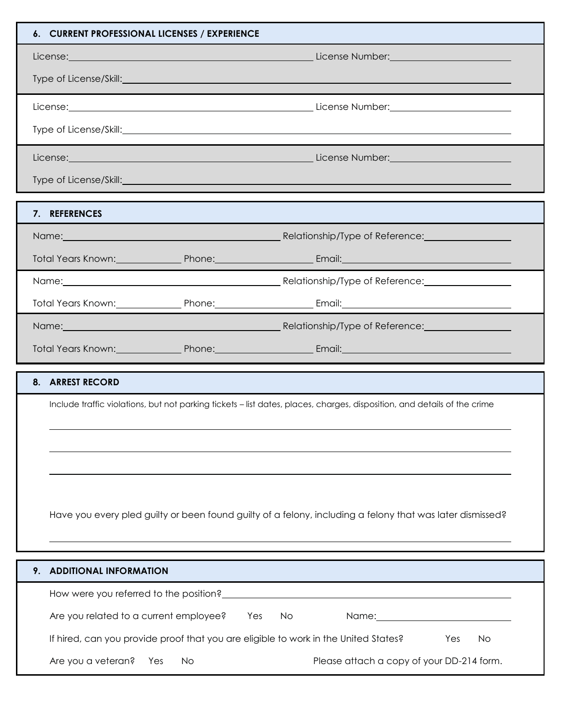| 6. CURRENT PROFESSIONAL LICENSES / EXPERIENCE                                                                                                                                                                                        |                                                                                                                                                                                                                                      |
|--------------------------------------------------------------------------------------------------------------------------------------------------------------------------------------------------------------------------------------|--------------------------------------------------------------------------------------------------------------------------------------------------------------------------------------------------------------------------------------|
|                                                                                                                                                                                                                                      | License: <u>and the set of the set of the set of the set of the set of the set of the set of the set of the set of the set of the set of the set of the set of the set of the set of the set of the set of the set of the set of</u> |
| Type of License/Skill: <u>Allen and the Community of Times and the Community of Times and the Community of Times and Times and Times and Times and Times and Times and Times and Times and Times and Times and Times and Times a</u> |                                                                                                                                                                                                                                      |
|                                                                                                                                                                                                                                      | License: <u>New York: New York: New York: Number: Number:</u> License Number: Number: Number: Number: Number: Number: Number: Number: Number: Number: Number: Number: Number: Number: Number: Number: Number: Number: Number: Numbe  |
| Type of License/Skill: <u>Chambre 2008</u> School and Chambre 2008 School and Chambre 2008 School and Chambre 2008 School and Chambre 2008 School and Chambre 2008 School and Chambre 2008 School and Chambre 2008 School and Chamb  |                                                                                                                                                                                                                                      |
|                                                                                                                                                                                                                                      | License: Numbers and Security and Security and Security and Security and Security and Security and Security and Security and Security and Security and Security and Security and Security and Security and Security and Securi       |
| Type of License/Skill: North American Communication of the Communication of the Communication of License Communication of the Communication of the Communication of the Communication of the Communication of the Communicatio       |                                                                                                                                                                                                                                      |
|                                                                                                                                                                                                                                      |                                                                                                                                                                                                                                      |
| <b>7. REFERENCES</b>                                                                                                                                                                                                                 |                                                                                                                                                                                                                                      |
| Name: Name: All the Contract of Contract of Contract of Contract of Contract of Contract of Contract of Contract of Contract of Contract of Contract of Contract of Contract of Contract of Contract of Contract of Contract o       |                                                                                                                                                                                                                                      |

| Total Years Known: Phone: Phone:     |                                                                                                               | Email: 2008. 2009. 2010. 2010. 2010. 2011. 2012. 2012. 2012. 2013. 2014. 2014. 2014. 2014. 2014. 2014. 2014. 2 |  |
|--------------------------------------|---------------------------------------------------------------------------------------------------------------|----------------------------------------------------------------------------------------------------------------|--|
|                                      |                                                                                                               |                                                                                                                |  |
| Total Years Known: Phone: Phone:     |                                                                                                               |                                                                                                                |  |
|                                      |                                                                                                               | Relationship/Type of Reference: Material Assembly Relationship                                                 |  |
| Total Years Known: Total Years & The | Phone: 2008 2010 2021 2022 2023 2024 2022 2022 2023 2024 2022 2023 2024 2022 2023 2024 2022 2023 2024 2025 20 | Email: 2008. 2009. 2010. 2010. 2010. 2010. 2010. 2010. 2011. 2012. 2012. 2012. 2013. 2014. 2014. 2014. 2014. 2 |  |

# **8. ARREST RECORD**

Include traffic violations, but not parking tickets – list dates, places, charges, disposition, and details of the crime

Have you every pled guilty or been found guilty of a felony, including a felony that was later dismissed?

| <b>ADDITIONAL INFORMATION</b>                                                       |     |     |                                                                                                                                                                                                                                |     |     |
|-------------------------------------------------------------------------------------|-----|-----|--------------------------------------------------------------------------------------------------------------------------------------------------------------------------------------------------------------------------------|-----|-----|
| How were you referred to the position?                                              |     |     |                                                                                                                                                                                                                                |     |     |
| Are you related to a current employee?                                              | Yes | No. | Name: when the set of the set of the set of the set of the set of the set of the set of the set of the set of the set of the set of the set of the set of the set of the set of the set of the set of the set of the set of th |     |     |
| If hired, can you provide proof that you are eligible to work in the United States? |     |     |                                                                                                                                                                                                                                | Yes | No. |
| Are you a veteran? Yes<br>No.                                                       |     |     | Please attach a copy of your DD-214 form.                                                                                                                                                                                      |     |     |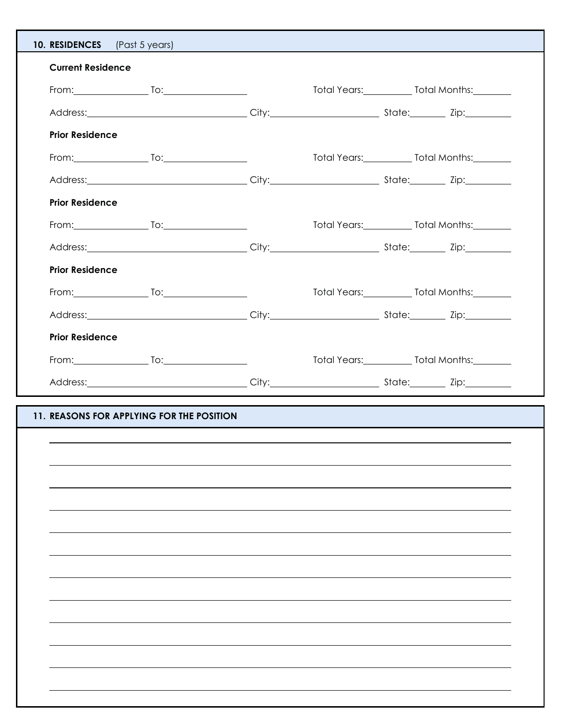| <b>10. RESIDENCES</b>    | (Past 5 years)                                                     |  |                                                   |  |
|--------------------------|--------------------------------------------------------------------|--|---------------------------------------------------|--|
| <b>Current Residence</b> |                                                                    |  |                                                   |  |
|                          |                                                                    |  | Total Years:______________ Total Months:_________ |  |
|                          |                                                                    |  |                                                   |  |
| <b>Prior Residence</b>   |                                                                    |  |                                                   |  |
|                          |                                                                    |  |                                                   |  |
|                          |                                                                    |  |                                                   |  |
| <b>Prior Residence</b>   |                                                                    |  |                                                   |  |
|                          |                                                                    |  |                                                   |  |
|                          |                                                                    |  |                                                   |  |
| <b>Prior Residence</b>   |                                                                    |  |                                                   |  |
|                          | From: To: To: To: To: To: Total Years: Total Months: Total Months: |  |                                                   |  |
|                          |                                                                    |  |                                                   |  |
| <b>Prior Residence</b>   |                                                                    |  |                                                   |  |
|                          |                                                                    |  |                                                   |  |
|                          |                                                                    |  |                                                   |  |
|                          | 11. REASONS FOR APPLYING FOR THE POSITION                          |  |                                                   |  |
|                          |                                                                    |  |                                                   |  |
|                          |                                                                    |  |                                                   |  |
|                          |                                                                    |  |                                                   |  |
|                          |                                                                    |  |                                                   |  |
|                          |                                                                    |  |                                                   |  |
|                          |                                                                    |  |                                                   |  |
|                          |                                                                    |  |                                                   |  |
|                          |                                                                    |  |                                                   |  |
|                          |                                                                    |  |                                                   |  |
|                          |                                                                    |  |                                                   |  |
|                          |                                                                    |  |                                                   |  |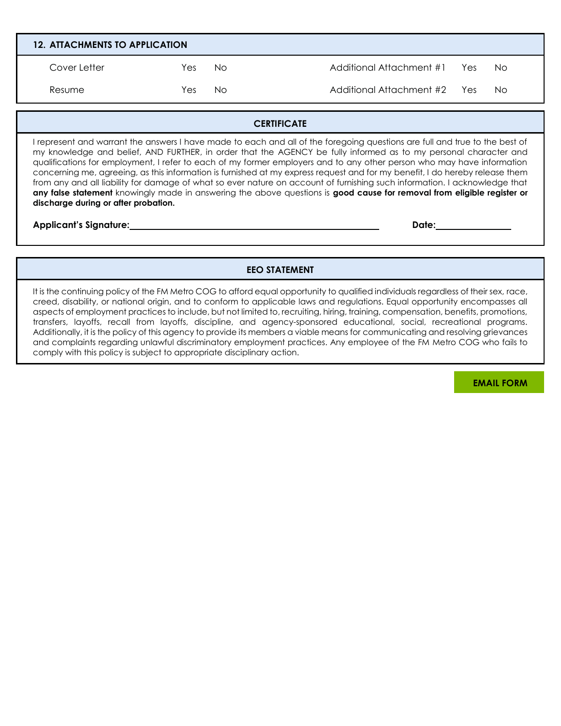| <b>12. ATTACHMENTS TO APPLICATION</b> |     |     |                              |     |     |
|---------------------------------------|-----|-----|------------------------------|-----|-----|
| Cover Letter                          | Yes | No. | Additional Attachment #1     | Yes | No. |
| Resume                                | Yes | No. | Additional Attachment #2 Yes |     | No. |
|                                       |     |     |                              |     |     |

### **CERTIFICATE**

I represent and warrant the answers I have made to each and all of the foregoing questions are full and true to the best of my knowledge and belief, AND FURTHER, in order that the AGENCY be fully informed as to my personal character and qualifications for employment, I refer to each of my former employers and to any other person who may have information concerning me, agreeing, as this information is furnished at my express request and for my benefit, I do hereby release them from any and all liability for damage of what so ever nature on account of furnishing such information. I acknowledge that **any false statement** knowingly made in answering the above questions is **good cause for removal from eligible register or discharge during or after probation.**

**Applicant's Signature: Date:**

## **EEO STATEMENT**

It is the continuing policy of the FM Metro COG to afford equal opportunity to qualified individuals regardless of their sex, race, creed, disability, or national origin, and to conform to applicable laws and regulations. Equal opportunity encompasses all aspects of employment practices to include, but not limited to, recruiting, hiring, training, compensation, benefits, promotions, transfers, layoffs, recall from layoffs, discipline, and agency-sponsored educational, social, recreational programs. Additionally, it is the policy of this agency to provide its members a viable means for communicating and resolving grievances and complaints regarding unlawful discriminatory employment practices. Any employee of the FM Metro COG who fails to comply with this policy is subject to appropriate disciplinary action.

**EMAIL FORM**